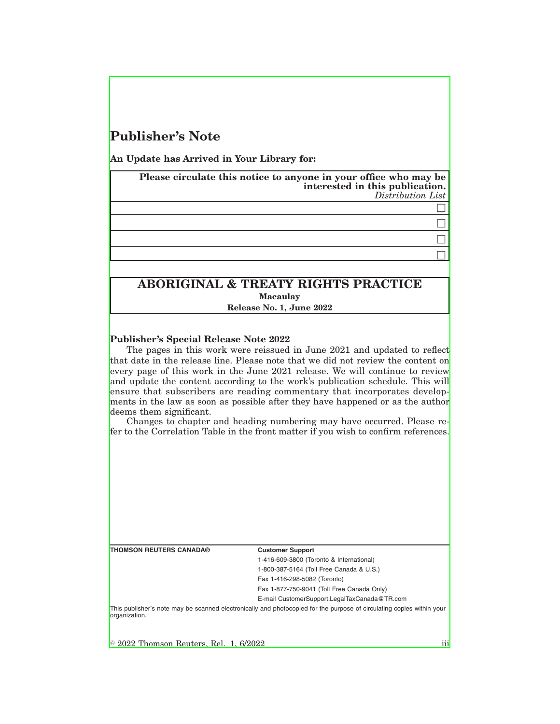# **Publisher's Note**

**An Update has Arrived in Your Library for:**

**Please circulate this notice to anyone in your office who may be interested in this publication.** *Distribution List*

## $\Box$  $\Box$  $\Box$

 $\Box$ 

**ABORIGINAL & TREATY RIGHTS PRACTICE Macaulay Release No. 1, June 2022**

### **Publisher's Special Release Note 2022**

The pages in this work were reissued in June 2021 and updated to reflect that date in the release line. Please note that we did not review the content on every page of this work in the June 2021 release. We will continue to review and update the content according to the work's publication schedule. This will ensure that subscribers are reading commentary that incorporates developments in the law as soon as possible after they have happened or as the author deems them significant.

Changes to chapter and heading numbering may have occurred. Please refer to the Correlation Table in the front matter if you wish to confirm references.

| <b>THOMSON REUTERS CANADA®</b>               | <b>Customer Support</b>                                                                                               |
|----------------------------------------------|-----------------------------------------------------------------------------------------------------------------------|
|                                              | 1-416-609-3800 (Toronto & International)                                                                              |
|                                              | 1-800-387-5164 (Toll Free Canada & U.S.)                                                                              |
|                                              | Fax 1-416-298-5082 (Toronto)                                                                                          |
|                                              | Fax 1-877-750-9041 (Toll Free Canada Only)                                                                            |
|                                              | E-mail CustomerSupport.LegalTaxCanada@TR.com                                                                          |
| lorganization.                               | This publisher's note may be scanned electronically and photocopied for the purpose of circulating copies within your |
|                                              |                                                                                                                       |
| $\odot$ 2022 Thomson Reuters, Rel. 1, 6/2022 | 111                                                                                                                   |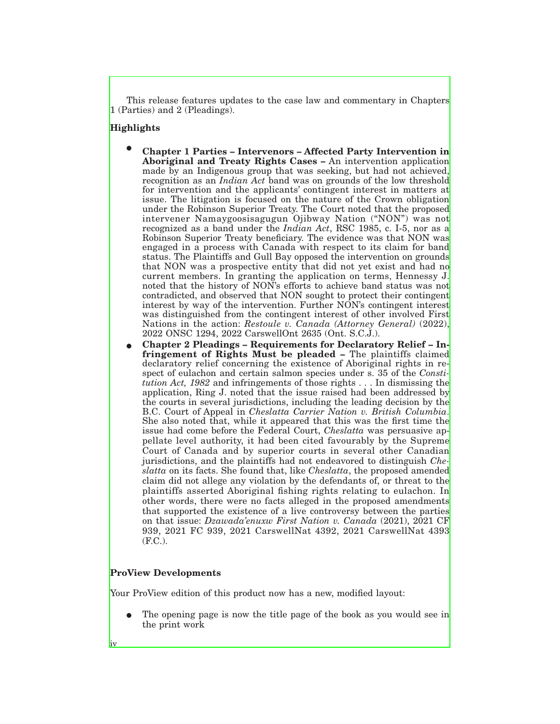This release features updates to the case law and commentary in Chapters 1 (Parties) and 2 (Pleadings).

#### **Highlights**

- E **Chapter 1 Parties Intervenors Affected Party Intervention in Aboriginal and Treaty Rights Cases –** An intervention application made by an Indigenous group that was seeking, but had not achieved, recognition as an *Indian Act* band was on grounds of the low threshold for intervention and the applicants' contingent interest in matters at issue. The litigation is focused on the nature of the Crown obligation under the Robinson Superior Treaty. The Court noted that the proposed intervener Namaygoosisagugun Ojibway Nation ("NON") was not recognized as a band under the *Indian Act*, RSC 1985, c. I-5, nor as a Robinson Superior Treaty beneficiary. The evidence was that NON was engaged in a process with Canada with respect to its claim for band status. The Plaintiffs and Gull Bay opposed the intervention on grounds that NON was a prospective entity that did not yet exist and had no current members. In granting the application on terms, Hennessy J. noted that the history of NON's efforts to achieve band status was not contradicted, and observed that NON sought to protect their contingent interest by way of the intervention. Further NON's contingent interest was distinguished from the contingent interest of other involved First Nations in the action: *Restoule v. Canada (Attorney General)* (2022), 2022 ONSC 1294, 2022 CarswellOnt 2635 (Ont. S.C.J.).
- E **Chapter 2 Pleadings Requirements for Declaratory Relief Infringement of Rights Must be pleaded –** The plaintiffs claimed declaratory relief concerning the existence of Aboriginal rights in respect of eulachon and certain salmon species under s. 35 of the *Constitution Act, 1982* and infringements of those rights . . . In dismissing the application, Ring J. noted that the issue raised had been addressed by the courts in several jurisdictions, including the leading decision by the B.C. Court of Appeal in *Cheslatta Carrier Nation v. British Columbia*. She also noted that, while it appeared that this was the first time the issue had come before the Federal Court, *Cheslatta* was persuasive appellate level authority, it had been cited favourably by the Supreme Court of Canada and by superior courts in several other Canadian jurisdictions, and the plaintiffs had not endeavored to distinguish *Cheslatta* on its facts. She found that, like *Cheslatta*, the proposed amended claim did not allege any violation by the defendants of, or threat to the plaintiffs asserted Aboriginal fishing rights relating to eulachon. In other words, there were no facts alleged in the proposed amendments that supported the existence of a live controversy between the parties on that issue: *Dzawada'enuxw First Nation v. Canada* (2021), 2021 CF 939, 2021 FC 939, 2021 CarswellNat 4392, 2021 CarswellNat 4393 (F.C.).

### **ProView Developments**

iv

Your ProView edition of this product now has a new, modified layout:

The opening page is now the title page of the book as you would see in the print work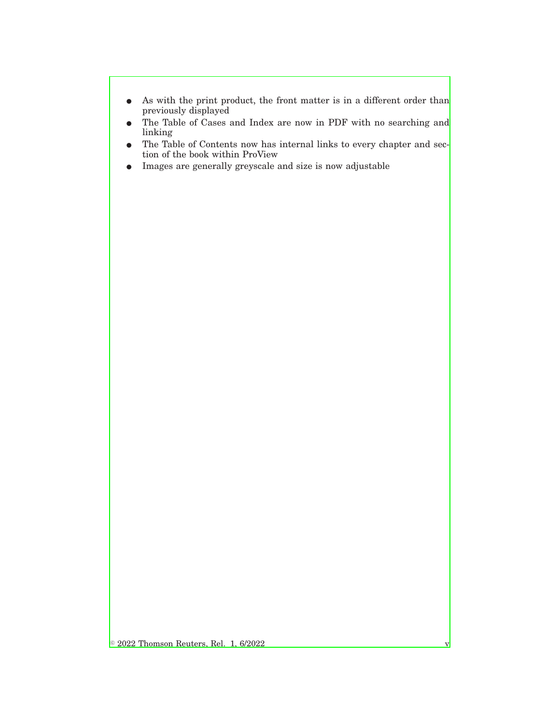- $\bullet$  As with the print product, the front matter is in a different order than previously displayed
- The Table of Cases and Index are now in PDF with no searching and linking
- The Table of Contents now has internal links to every chapter and section of the book within ProView
- E Images are generally greyscale and size is now adjustable

 $\circ$  2022 Thomson Reuters, Rel. 1, 6/2022